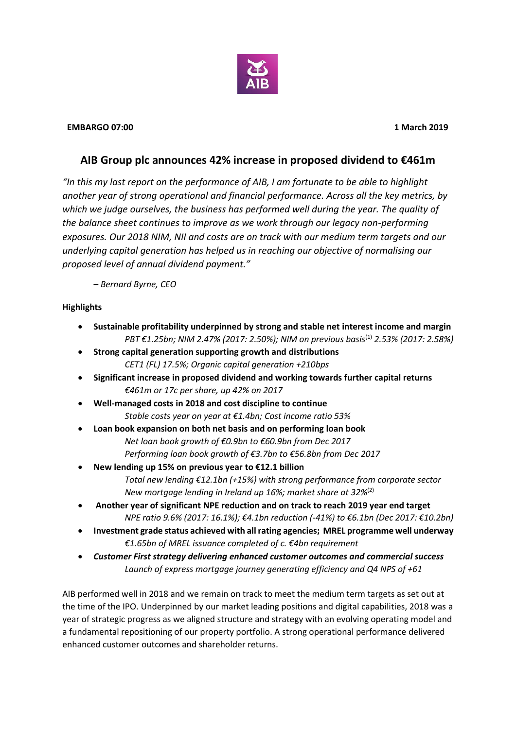

## **EMBARGO 07:00 1 March 2019**

# **AIB Group plc announces 42% increase in proposed dividend to €461m**

*"In this my last report on the performance of AIB, I am fortunate to be able to highlight another year of strong operational and financial performance. Across all the key metrics, by which we judge ourselves, the business has performed well during the year. The quality of the balance sheet continues to improve as we work through our legacy non-performing exposures. Our 2018 NIM, NII and costs are on track with our medium term targets and our underlying capital generation has helped us in reaching our objective of normalising our proposed level of annual dividend payment."*

*– Bernard Byrne, CEO*

## **Highlights**

- **Sustainable profitability underpinned by strong and stable net interest income and margin** *PBT* €1.25bn; NIM 2.47% (2017: 2.50%); NIM on previous basis<sup>(1)</sup> 2.53% (2017: 2.58%)
- **Strong capital generation supporting growth and distributions** *CET1 (FL) 17.5%; Organic capital generation +210bps*
- **Significant increase in proposed dividend and working towards further capital returns**  *€461m or 17c per share, up 42% on 2017*
- **Well-managed costs in 2018 and cost discipline to continue**  *Stable costs year on year at €1.4bn; Cost income ratio 53%*
- **Loan book expansion on both net basis and on performing loan book** *Net loan book growth of €0.9bn to €60.9bn from Dec 2017 Performing loan book growth of €3.7bn to €56.8bn from Dec 2017*
- **New lending up 15% on previous year to €12.1 billion** *Total new lending €12.1bn (+15%) with strong performance from corporate sector New mortgage lending in Ireland up 16%; market share at 32%*(2)
- **Another year of significant NPE reduction and on track to reach 2019 year end target** *NPE ratio 9.6% (2017: 16.1%); €4.1bn reduction (-41%) to €6.1bn (Dec 2017: €10.2bn)*
- **Investment grade status achieved with all rating agencies; MREL programme well underway** *€1.65bn of MREL issuance completed of c. €4bn requirement*
- *Customer First strategy delivering enhanced customer outcomes and commercial success Launch of express mortgage journey generating efficiency and Q4 NPS of +61*

AIB performed well in 2018 and we remain on track to meet the medium term targets as set out at the time of the IPO. Underpinned by our market leading positions and digital capabilities, 2018 was a year of strategic progress as we aligned structure and strategy with an evolving operating model and a fundamental repositioning of our property portfolio. A strong operational performance delivered enhanced customer outcomes and shareholder returns.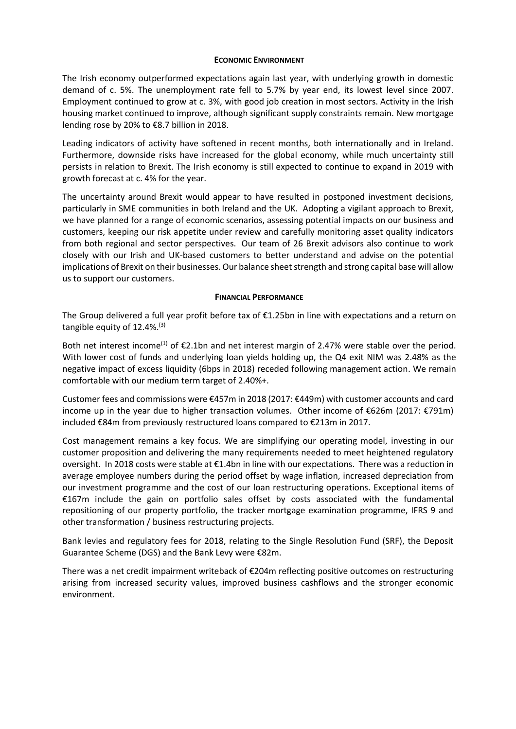### **ECONOMIC ENVIRONMENT**

The Irish economy outperformed expectations again last year, with underlying growth in domestic demand of c. 5%. The unemployment rate fell to 5.7% by year end, its lowest level since 2007. Employment continued to grow at c. 3%, with good job creation in most sectors. Activity in the Irish housing market continued to improve, although significant supply constraints remain. New mortgage lending rose by 20% to €8.7 billion in 2018.

Leading indicators of activity have softened in recent months, both internationally and in Ireland. Furthermore, downside risks have increased for the global economy, while much uncertainty still persists in relation to Brexit. The Irish economy is still expected to continue to expand in 2019 with growth forecast at c. 4% for the year.

The uncertainty around Brexit would appear to have resulted in postponed investment decisions, particularly in SME communities in both Ireland and the UK. Adopting a vigilant approach to Brexit, we have planned for a range of economic scenarios, assessing potential impacts on our business and customers, keeping our risk appetite under review and carefully monitoring asset quality indicators from both regional and sector perspectives. Our team of 26 Brexit advisors also continue to work closely with our Irish and UK-based customers to better understand and advise on the potential implications of Brexit on their businesses. Our balance sheet strength and strong capital base will allow us to support our customers.

### **FINANCIAL PERFORMANCE**

The Group delivered a full year profit before tax of €1.25bn in line with expectations and a return on tangible equity of 12.4%.(3)

Both net interest income<sup>(1)</sup> of  $E$ 2.1bn and net interest margin of 2.47% were stable over the period. With lower cost of funds and underlying loan yields holding up, the Q4 exit NIM was 2.48% as the negative impact of excess liquidity (6bps in 2018) receded following management action. We remain comfortable with our medium term target of 2.40%+.

Customer fees and commissions were €457m in 2018 (2017: €449m) with customer accounts and card income up in the year due to higher transaction volumes. Other income of €626m (2017: €791m) included €84m from previously restructured loans compared to €213m in 2017.

Cost management remains a key focus. We are simplifying our operating model, investing in our customer proposition and delivering the many requirements needed to meet heightened regulatory oversight. In 2018 costs were stable at €1.4bn in line with our expectations. There was a reduction in average employee numbers during the period offset by wage inflation, increased depreciation from our investment programme and the cost of our loan restructuring operations. Exceptional items of €167m include the gain on portfolio sales offset by costs associated with the fundamental repositioning of our property portfolio, the tracker mortgage examination programme, IFRS 9 and other transformation / business restructuring projects.

Bank levies and regulatory fees for 2018, relating to the Single Resolution Fund (SRF), the Deposit Guarantee Scheme (DGS) and the Bank Levy were €82m.

There was a net credit impairment writeback of €204m reflecting positive outcomes on restructuring arising from increased security values, improved business cashflows and the stronger economic environment.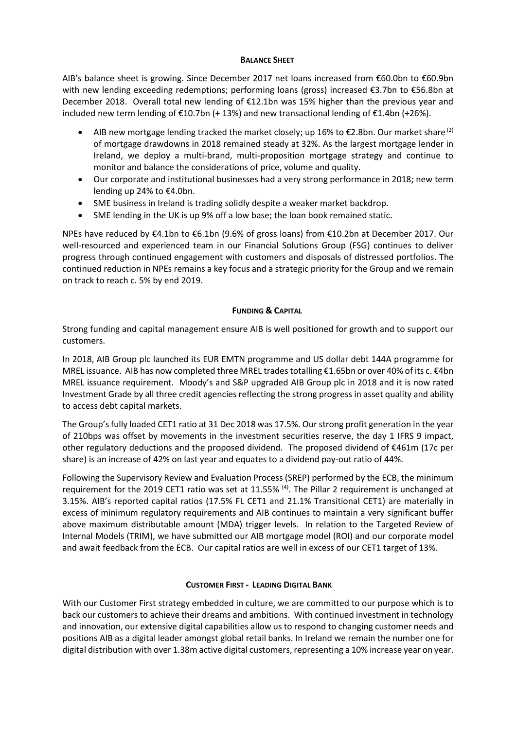## **BALANCE SHEET**

AIB's balance sheet is growing. Since December 2017 net loans increased from €60.0bn to €60.9bn with new lending exceeding redemptions; performing loans (gross) increased €3.7bn to €56.8bn at December 2018. Overall total new lending of €12.1bn was 15% higher than the previous year and included new term lending of  $E10.7$ bn (+ 13%) and new transactional lending of  $E1.4$ bn (+26%).

- AIB new mortgage lending tracked the market closely; up 16% to  $E2.8$ bn. Our market share<sup>(2)</sup> of mortgage drawdowns in 2018 remained steady at 32%. As the largest mortgage lender in Ireland, we deploy a multi-brand, multi-proposition mortgage strategy and continue to monitor and balance the considerations of price, volume and quality.
- Our corporate and institutional businesses had a very strong performance in 2018; new term lending up 24% to €4.0bn.
- SME business in Ireland is trading solidly despite a weaker market backdrop.
- SME lending in the UK is up 9% off a low base; the loan book remained static.

NPEs have reduced by €4.1bn to €6.1bn (9.6% of gross loans) from €10.2bn at December 2017. Our well-resourced and experienced team in our Financial Solutions Group (FSG) continues to deliver progress through continued engagement with customers and disposals of distressed portfolios. The continued reduction in NPEs remains a key focus and a strategic priority for the Group and we remain on track to reach c. 5% by end 2019.

## **FUNDING & CAPITAL**

Strong funding and capital management ensure AIB is well positioned for growth and to support our customers.

In 2018, AIB Group plc launched its EUR EMTN programme and US dollar debt 144A programme for MREL issuance. AIB has now completed three MREL trades totalling €1.65bn or over 40% of its c. €4bn MREL issuance requirement. Moody's and S&P upgraded AIB Group plc in 2018 and it is now rated Investment Grade by all three credit agencies reflecting the strong progress in asset quality and ability to access debt capital markets.

The Group's fully loaded CET1 ratio at 31 Dec 2018 was 17.5%. Our strong profit generation in the year of 210bps was offset by movements in the investment securities reserve, the day 1 IFRS 9 impact, other regulatory deductions and the proposed dividend. The proposed dividend of €461m (17c per share) is an increase of 42% on last year and equates to a dividend pay-out ratio of 44%.

Following the Supervisory Review and Evaluation Process (SREP) performed by the ECB, the minimum requirement for the 2019 CET1 ratio was set at 11.55% <sup>(4)</sup>. The Pillar 2 requirement is unchanged at 3.15%. AIB's reported capital ratios (17.5% FL CET1 and 21.1% Transitional CET1) are materially in excess of minimum regulatory requirements and AIB continues to maintain a very significant buffer above maximum distributable amount (MDA) trigger levels. In relation to the Targeted Review of Internal Models (TRIM), we have submitted our AIB mortgage model (ROI) and our corporate model and await feedback from the ECB. Our capital ratios are well in excess of our CET1 target of 13%.

## **CUSTOMER FIRST - LEADING DIGITAL BANK**

With our Customer First strategy embedded in culture, we are committed to our purpose which is to back our customers to achieve their dreams and ambitions. With continued investment in technology and innovation, our extensive digital capabilities allow us to respond to changing customer needs and positions AIB as a digital leader amongst global retail banks. In Ireland we remain the number one for digital distribution with over 1.38m active digital customers, representing a 10% increase year on year.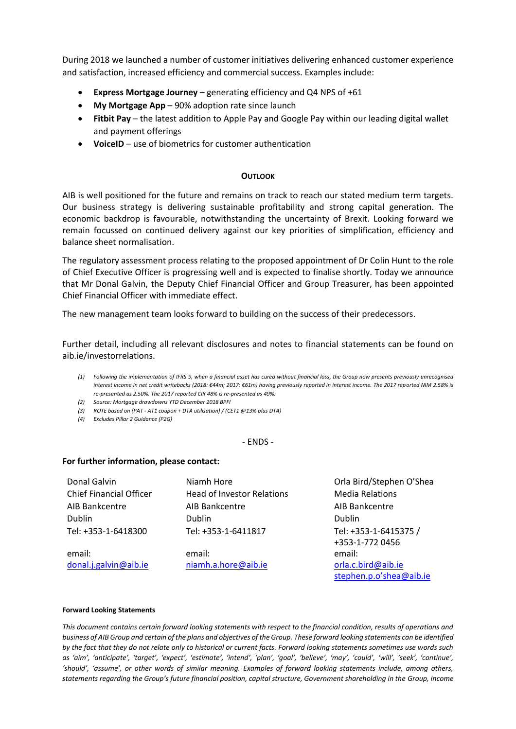During 2018 we launched a number of customer initiatives delivering enhanced customer experience and satisfaction, increased efficiency and commercial success. Examples include:

- **Express Mortgage Journey** generating efficiency and Q4 NPS of +61
- **My Mortgage App** 90% adoption rate since launch
- **Fitbit Pay** the latest addition to Apple Pay and Google Pay within our leading digital wallet and payment offerings
- **VoiceID**  use of biometrics for customer authentication

### **OUTLOOK**

AIB is well positioned for the future and remains on track to reach our stated medium term targets. Our business strategy is delivering sustainable profitability and strong capital generation. The economic backdrop is favourable, notwithstanding the uncertainty of Brexit. Looking forward we remain focussed on continued delivery against our key priorities of simplification, efficiency and balance sheet normalisation.

The regulatory assessment process relating to the proposed appointment of Dr Colin Hunt to the role of Chief Executive Officer is progressing well and is expected to finalise shortly. Today we announce that Mr Donal Galvin, the Deputy Chief Financial Officer and Group Treasurer, has been appointed Chief Financial Officer with immediate effect.

The new management team looks forward to building on the success of their predecessors.

Further detail, including all relevant disclosures and notes to financial statements can be found on aib.ie/investorrelations.

- *(1) Following the implementation of IFRS 9, when a financial asset has cured without financial loss, the Group now presents previously unrecognised interest income in net credit writebacks (2018: €44m; 2017: €61m) having previously reported in interest income. The 2017 reported NIM 2.58% is re-presented as 2.50%. The 2017 reported CIR 48% is re-presented as 49%.*
- *(2) Source: Mortgage drawdowns YTD December 2018 BPFI*
- *(3) ROTE based on (PAT - AT1 coupon + DTA utilisation) / (CET1 @13% plus DTA)*
- *(4) Excludes Pillar 2 Guidance (P2G)*

#### - ENDS -

#### **For further information, please contact:**

| Donal Galvin                   | Niamh Hore                        | Orla Bird/Stephen O'Shea |
|--------------------------------|-----------------------------------|--------------------------|
|                                |                                   |                          |
| <b>Chief Financial Officer</b> | <b>Head of Investor Relations</b> | <b>Media Relations</b>   |
| AIB Bankcentre                 | AIB Bankcentre                    | AIB Bankcentre           |
| Dublin                         | <b>Dublin</b>                     | Dublin                   |
| Tel: +353-1-6418300            | Tel: +353-1-6411817               | Tel: +353-1-6415375 /    |
|                                |                                   | +353-1-772 0456          |
| email:                         | email:                            | email:                   |
| donal.j.galvin@aib.ie          | niamh.a.hore@aib.ie               | orla.c.bird@aib.ie       |

stephen.p.o'shea@aib.ie

#### **Forward Looking Statements**

*This document contains certain forward looking statements with respect to the financial condition, results of operations and business of AIB Group and certain of the plans and objectives of the Group. These forward looking statements can be identified by the fact that they do not relate only to historical or current facts. Forward looking statements sometimes use words such as 'aim', 'anticipate', 'target', 'expect', 'estimate', 'intend', 'plan', 'goal', 'believe', 'may', 'could', 'will', 'seek', 'continue', 'should', 'assume', or other words of similar meaning. Examples of forward looking statements include, among others, statements regarding the Group's future financial position, capital structure, Government shareholding in the Group, income*